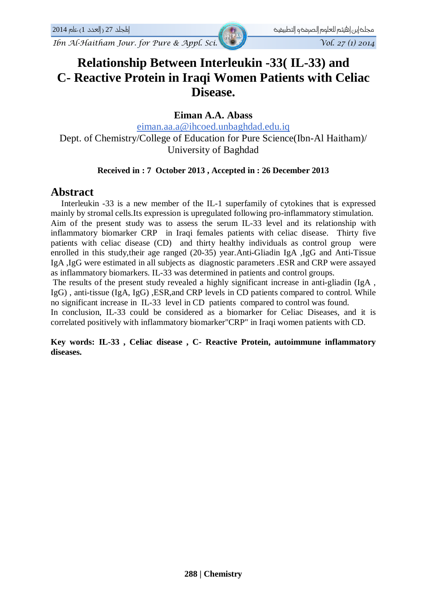# **Relationship Between Interleukin -33( IL-33) and C- Reactive Protein in Iraqi Women Patients with Celiac Disease.**

### **Eiman A.A. Abass**

[eiman.aa.a@ihcoed.unbaghdad.edu.iq](mailto:eiman.aa.a@ihcoed.unbaghdad.edu.iq) Dept. of Chemistry/College of Education for Pure Science(Ibn-Al Haitham)/ University of Baghdad

#### **Received in : 7 October 2013 , Accepted in : 26 December 2013**

### **Abstract**

 Interleukin -33 is a new member of the IL-1 superfamily of cytokines that is expressed mainly by stromal cells.Its expression is upregulated following pro-inflammatory stimulation. Aim of the present study was to assess the serum IL-33 level and its relationship with inflammatory biomarker CRP in Iraqi females patients with celiac disease. Thirty five patients with celiac disease (CD) and thirty healthy individuals as control group were enrolled in this study,their age ranged (20-35) year.Anti-Gliadin IgA ,IgG and Anti-Tissue IgA ,IgG were estimated in all subjects as diagnostic parameters .ESR and CRP were assayed as inflammatory biomarkers. IL-33 was determined in patients and control groups.

The results of the present study revealed a highly significant increase in anti-gliadin (IgA , IgG) , anti-tissue (IgA, IgG) ,ESR,and CRP levels in CD patients compared to control. While no significant increase in IL-33 level in CD patients compared to control was found.

In conclusion, IL-33 could be considered as a biomarker for Celiac Diseases, and it is correlated positively with inflammatory biomarker"CRP" in Iraqi women patients with CD.

**Key words: IL-33 , Celiac disease , C- Reactive Protein, autoimmune inflammatory diseases.**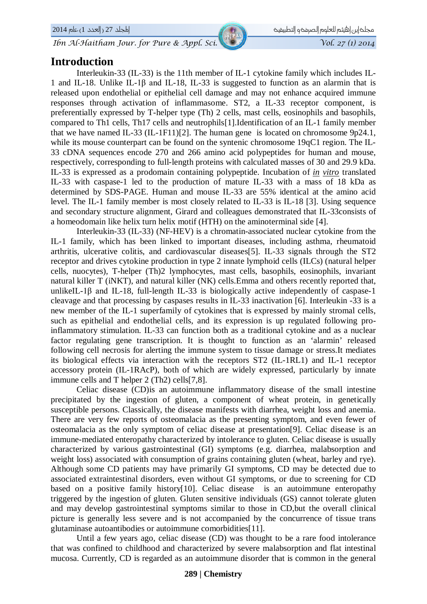### **Introduction**

Interleukin-33 (IL-33) is the 11th member of IL-1 cytokine family which includes IL-1 and IL-18. Unlike IL-1β and IL-18, IL-33 is suggested to function as an alarmin that is released upon endothelial or epithelial cell damage and may not enhance acquired immune responses through activation of inflammasome. ST2, a IL-33 receptor component, is preferentially expressed by T-helper type (Th) 2 cells, mast cells, eosinophils and basophils, compared to Th1 cells, Th17 cells and neutrophils[1].Identification of an IL-1 family member that we have named IL-33 (IL-1F11)[2]. The human gene is located on chromosome 9p24.1, while its mouse counterpart can be found on the syntenic chromosome 19qC1 region. The IL-33 cDNA sequences encode 270 and 266 amino acid polypeptides for human and mouse, respectively, corresponding to full-length proteins with calculated masses of 30 and 29.9 kDa. IL-33 is expressed as a prodomain containing polypeptide. Incubation of *in vitro* translated IL-33 with caspase-1 led to the production of mature IL-33 with a mass of 18 kDa as determined by SDS-PAGE. Human and mouse IL-33 are 55% identical at the amino acid level. The IL-1 family member is most closely related to IL-33 is IL-18 [3]. Using sequence and secondary structure alignment, Girard and colleagues demonstrated that IL-33consists of a homeodomain like helix turn helix motif (HTH) on the aminoterminal side [4].

Interleukin-33 (IL-33) (NF-HEV) is a chromatin-associated nuclear cytokine from the IL-1 family, which has been linked to important diseases, including asthma, rheumatoid arthritis, ulcerative colitis, and cardiovascular diseases[5]. IL-33 signals through the ST2 receptor and drives cytokine production in type 2 innate lymphoid cells (ILCs) (natural helper cells, nuocytes), T-helper (Th)2 lymphocytes, mast cells, basophils, eosinophils, invariant natural killer T (iNKT), and natural killer (NK) cells.Emma and others recently reported that, unlikeIL-1 $\beta$  and IL-18, full-length IL-33 is biologically active independently of caspase-1 cleavage and that processing by caspases results in IL-33 inactivation [6]. Interleukin -33 is a new member of the IL-1 superfamily of cytokines that is expressed by mainly stromal cells, such as epithelial and endothelial cells, and its expression is up regulated following proinflammatory stimulation. IL-33 can function both as a traditional cytokine and as a nuclear factor regulating gene transcription. It is thought to function as an 'alarmin' released following cell necrosis for alerting the immune system to tissue damage or stress.It mediates its biological effects via interaction with the receptors ST2 (IL-1RL1) and IL-1 receptor accessory protein (IL-1RAcP), both of which are widely expressed, particularly by innate immune cells and T helper 2 (Th2) cells[7,8].

Celiac disease (CD)is an autoimmune inflammatory disease of the small intestine precipitated by the ingestion of gluten, a component of wheat protein, in genetically susceptible persons. Classically, the disease manifests with diarrhea, weight loss and anemia. There are very few reports of osteomalacia as the presenting symptom, and even fewer of osteomalacia as the only symptom of celiac disease at presentation[9]. Celiac disease is an immune-mediated enteropathy characterized by intolerance to gluten. Celiac disease is usually characterized by various gastrointestinal (GI) symptoms (e.g. diarrhea, malabsorption and weight loss) associated with consumption of grains containing gluten (wheat, barley and rye). Although some CD patients may have primarily GI symptoms, CD may be detected due to associated extraintestinal disorders, even without GI symptoms, or due to screening for CD based on a positive family history[10]. Celiac disease is an autoimmune enteropathy triggered by the ingestion of gluten. Gluten sensitive individuals (GS) cannot tolerate gluten and may develop gastrointestinal symptoms similar to those in CD,but the overall clinical picture is generally less severe and is not accompanied by the concurrence of tissue trans glutaminase autoantibodies or autoimmune comorbidities[11].

Until a few years ago, celiac disease (CD) was thought to be a rare food intolerance that was confined to childhood and characterized by severe malabsorption and flat intestinal mucosa. Currently, CD is regarded as an autoimmune disorder that is common in the general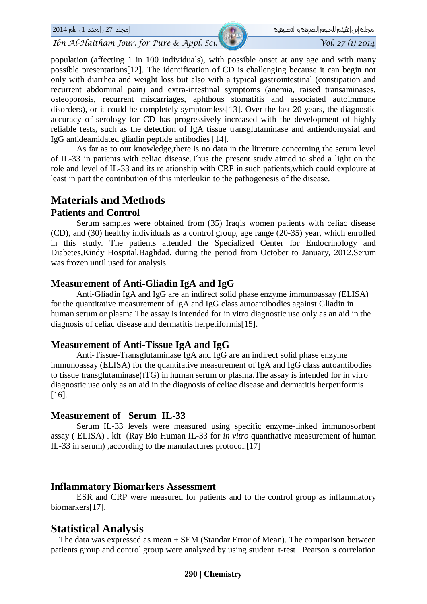و مجلح إبن |هيثم للعلوم |لصرمح و |لتطبيقيت مصرف المصرفة العربية المجلد 27 ( |لعدد 1) عام 2014 2014 مي المجلد 27

*Ibn Al-Haitham Jour. for Pure & Appl. Sci. Vol. 27 (1) 2014* 

population (affecting 1 in 100 individuals), with possible onset at any age and with many possible presentations[12]. The identification of CD is challenging because it can begin not only with diarrhea and weight loss but also with a typical gastrointestinal (constipation and recurrent abdominal pain) and extra-intestinal symptoms (anemia, raised transaminases, osteoporosis, recurrent miscarriages, aphthous stomatitis and associated autoimmune disorders), or it could be completely symptomless[13]. Over the last 20 years, the diagnostic accuracy of serology for CD has progressively increased with the development of highly reliable tests, such as the detection of IgA tissue transglutaminase and antiendomysial and IgG antideamidated gliadin peptide antibodies [14].

As far as to our knowledge,there is no data in the litreture concerning the serum level of IL-33 in patients with celiac disease.Thus the present study aimed to shed a light on the role and level of IL-33 and its relationship with CRP in such patients,which could exploure at least in part the contribution of this interleukin to the pathogenesis of the disease.

# **Materials and Methods**

### **Patients and Control**

Serum samples were obtained from (35) Iraqis women patients with celiac disease (CD), and (30) healthy individuals as a control group, age range (20-35) year, which enrolled in this study. The patients attended the Specialized Center for Endocrinology and Diabetes,Kindy Hospital,Baghdad, during the period from October to January, 2012.Serum was frozen until used for analysis.

### **Measurement of Anti-Gliadin IgA and IgG**

Anti-Gliadin IgA and IgG are an indirect solid phase enzyme immunoassay (ELISA) for the quantitative measurement of IgA and IgG class autoantibodies against Gliadin in human serum or plasma.The assay is intended for in vitro diagnostic use only as an aid in the diagnosis of celiac disease and dermatitis herpetiformis[15].

### **Measurement of Anti-Tissue IgA and IgG**

Anti-Tissue-Transglutaminase IgA and IgG are an indirect solid phase enzyme immunoassay (ELISA) for the quantitative measurement of IgA and IgG class autoantibodies to tissue transglutaminase(tTG) in human serum or plasma.The assay is intended for in vitro diagnostic use only as an aid in the diagnosis of celiac disease and dermatitis herpetiformis [16].

### **Measurement of Serum IL-33**

Serum IL-33 levels were measured using specific enzyme-linked immunosorbent assay ( ELISA) . kit (Ray Bio Human IL-33 for *in vitro* quantitative measurement of human IL-33 in serum) ,according to the manufactures protocol.[17]

### **Inflammatory Biomarkers Assessment**

ESR and CRP were measured for patients and to the control group as inflammatory biomarkers[17].

## **Statistical Analysis**

The data was expressed as mean  $\pm$  SEM (Standar Error of Mean). The comparison between patients group and control group were analyzed by using student t-test. Pearson 's correlation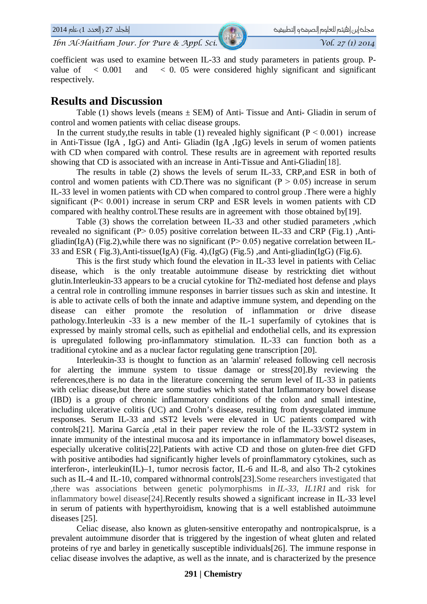coefficient was used to examine between IL-33 and study parameters in patients group. Pvalue of  $\lt$  0.001 and  $\lt$  0.05 were considered highly significant and significant respectively.

### **Results and Discussion**

Table (1) shows levels (means  $\pm$  SEM) of Anti-Tissue and Anti-Gliadin in serum of control and women patients with celiac disease groups.

In the current study, the results in table (1) revealed highly significant ( $P < 0.001$ ) increase in Anti-Tissue (IgA , IgG) and Anti- Gliadin (IgA ,IgG) levels in serum of women patients with CD when compared with control. These results are in agreement with reported results showing that CD is associated with an increase in Anti-Tissue and Anti-Gliadin[18].

The results in table (2) shows the levels of serum IL-33, CRP,and ESR in both of control and women patients with CD. There was no significant ( $P > 0.05$ ) increase in serum IL-33 level in women patients with CD when compared to control group .There were a highly significant  $(P< 0.001)$  increase in serum CRP and ESR levels in women patients with CD compared with healthy control.These results are in agreement with those obtained by[19].

Table (3) shows the correlation between IL-33 and other studied parameters ,which revealed no significant (P˃ 0.05) positive correlation between IL-33 and CRP (Fig.1) ,Antigliadin(IgA) (Fig.2), while there was no significant ( $P > 0.05$ ) negative correlation between IL-33 and ESR ( Fig.3),Anti-tissue(IgA) (Fig. 4),(IgG) (Fig.5) ,and Anti-gliadin(IgG) (Fig.6).

This is the first study which found the elevation in IL-33 level in patients with Celiac disease, which is the only treatable autoimmune disease by restrickting diet without glutin.Interleukin-33 appears to be a crucial cytokine for Th2-mediated host defense and plays a central role in controlling immune responses in barrier tissues such as skin and intestine. It is able to activate cells of both the innate and adaptive immune system, and depending on the disease can either promote the resolution of inflammation or drive disease pathology.Interleukin -33 is a new member of the IL-1 superfamily of cytokines that is expressed by mainly stromal cells, such as epithelial and endothelial cells, and its expression is upregulated following pro-inflammatory stimulation. IL-33 can function both as a traditional cytokine and as a nuclear factor regulating gene transcription [20].

Interleukin-33 is thought to function as an 'alarmin' released following cell necrosis for alerting the immune system to tissue damage or stress[20].By reviewing the references,there is no data in the literature concerning the serum level of IL-33 in patients with celiac disease,but there are some studies which stated that Inflammatory bowel disease (IBD) is a group of chronic inflammatory conditions of the colon and small intestine, including ulcerative colitis (UC) and Crohn's disease, resulting from dysregulated immune responses. Serum IL-33 and sST2 levels were elevated in UC patients compared with controls[21]. Marina García ,etal in their paper review the role of the IL-33/ST2 system in innate immunity of the intestinal mucosa and its importance in inflammatory bowel diseases, especially ulcerative colitis[22].Patients with active CD and those on gluten-free diet GFD with positive antibodies had significantly higher levels of proinflammatory cytokines, such as interferon-, interleukin(IL)–1, tumor necrosis factor, IL-6 and IL-8, and also Th-2 cytokines such as IL-4 and IL-10, compared withnormal controls[23].Some researchers investigated that ,there was associations between genetic polymorphisms in *IL-33, IL1R1* and risk for inflammatory bowel disease[24].Recently results showed a significant increase in IL-33 level in serum of patients with hyperthyroidism, knowing that is a well established autoimmune diseases [25].

Celiac disease, also known as gluten-sensitive enteropathy and nontropicalsprue, is a prevalent autoimmune disorder that is triggered by the ingestion of wheat gluten and related proteins of rye and barley in genetically susceptible individuals[26]. The immune response in celiac disease involves the adaptive, as well as the innate, and is characterized by the presence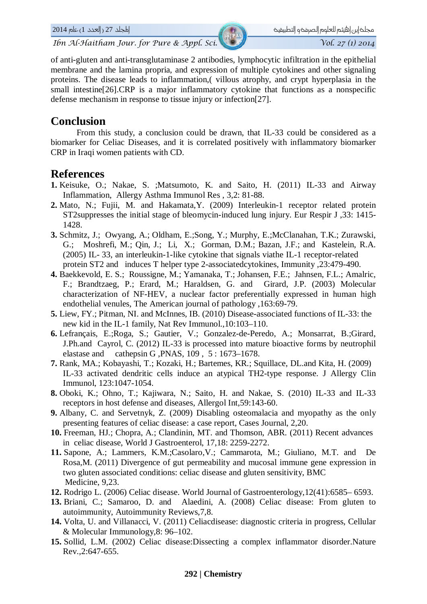

of anti-gluten and anti-transglutaminase 2 antibodies, lymphocytic infiltration in the epithelial membrane and the lamina propria, and expression of multiple cytokines and other signaling proteins. The disease leads to inflammation,( villous atrophy, and crypt hyperplasia in the small intestine[26].CRP is a major inflammatory cytokine that functions as a nonspecific defense mechanism in response to tissue injury or infection[27].

# **Conclusion**

From this study, a conclusion could be drawn, that IL-33 could be considered as a biomarker for Celiac Diseases, and it is correlated positively with inflammatory biomarker CRP in Iraqi women patients with CD.

# **References**

- **1.** Keisuke, O.; Nakae, S. ;Matsumoto, K. and Saito, H. (2011) IL-33 and Airway Inflammation, Allergy Asthma Immunol Res , 3,2: 81-88.
- **2.** Mato, N.; Fujii, M. and Hakamata,Y. (2009) Interleukin-1 receptor related protein ST2suppresses the initial stage of bleomycin-induced lung injury. Eur Respir J ,33: 1415- 1428.
- **3.** Schmitz, J.; Owyang, A.; Oldham, E.;Song, Y.; Murphy, E.;McClanahan, T.K.; Zurawski, G.; Moshrefi, M.; Qin, J.; Li, X.; Gorman, D.M.; Bazan, J.F.; and Kastelein, R.A. (2005) IL- 33, an interleukin-1-like cytokine that signals viathe IL-1 receptor-related protein ST2 and induces T helper type 2-associatedcytokines, Immunity ,23:479-490.
- **4.** Baekkevold, E. S.; Roussigne, M.; Yamanaka, T.; Johansen, F.E.; Jahnsen, F.L.; Amalric, F.; Brandtzaeg, P.; Erard, M.; Haraldsen, G. and Girard, J.P. (2003) Molecular characterization of NF-HEV, a nuclear factor preferentially expressed in human high endothelial venules, The American journal of pathology ,163:69-79.
- **5.** Liew, FY.; Pitman, NI. and McInnes, IB. (2010) Disease-associated functions of IL-33: the new kid in the IL-1 family, Nat Rev Immunol.,10:103–110.
- **6.** Lefrançais, E.;Roga, S.; Gautier, V.; Gonzalez-de-Peredo, A.; Monsarrat, B.;Girard, J.Ph.and Cayrol, C. (2012) IL-33 is processed into mature bioactive forms by neutrophil elastase and cathepsin G ,PNAS, 109 , 5 : 1673–1678.
- **7.** Rank, MA.; Kobayashi, T.; Kozaki, H.; Bartemes, KR.; Squillace, DL.and Kita, H. (2009) IL-33 activated dendritic cells induce an atypical TH2-type response. J Allergy Clin Immunol, 123:1047-1054.
- **8.** Oboki, K.; Ohno, T.; Kajiwara, N.; Saito, H. and Nakae, S. (2010) IL-33 and IL-33 receptors in host defense and diseases, Allergol Int,59:143-60.
- **9.** Albany, C. and Servetnyk, Z. (2009) Disabling osteomalacia and myopathy as the only presenting features of celiac disease: a case report, Cases Journal, 2,20.
- **10.** Freeman, HJ.; Chopra, A.; Clandinin, MT. and Thomson, ABR. (2011) Recent advances in celiac disease, World J Gastroenterol, 17,18: 2259-2272.
- **11.** Sapone, A.; Lammers, K.M.;Casolaro,V.; Cammarota, M.; Giuliano, M.T. and De Rosa,M. (2011) Divergence of gut permeability and mucosal immune gene expression in two gluten associated conditions: celiac disease and gluten sensitivity, BMC Medicine, 9,23.
- **12.** Rodrigo L. (2006) Celiac disease. World Journal of Gastroenterology,12(41):6585– 6593.
- **13.** [Briani,](http://www.sciencedirect.com.tiger.sempertool.dk/science/article/pii/S1568997208000761) C.; [Samaroo,](http://www.sciencedirect.com.tiger.sempertool.dk/science/article/pii/S1568997208000761) D. and [Alaedini,](http://www.sciencedirect.com.tiger.sempertool.dk/science/article/pii/S1568997208000761) A. (2008) Celiac disease: From gluten to autoimmunity, Autoimmunity Reviews,7,8.
- **14.** Volta, U. and Villanacci, V. (2011) Celiacdisease: diagnostic criteria in progress, Cellular & Molecular Immunology,8: 96–102.
- **15.** Sollid, L.M. (2002) Celiac disease:Dissecting a complex inflammator disorder.Nature Rev.,2:647-655.

#### **292 | Chemistry**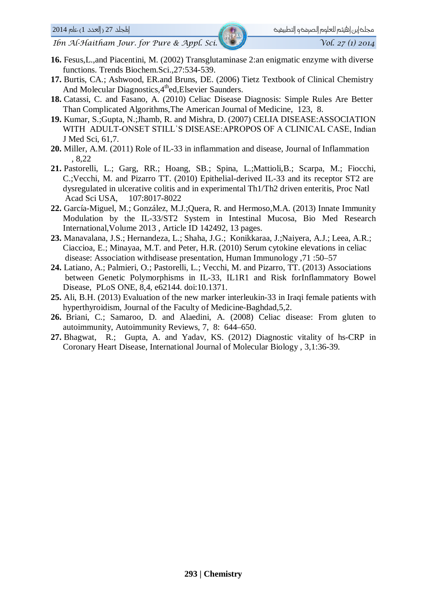- **16.** Fesus,L.,and Piacentini, M. (2002) Transglutaminase 2:an enigmatic enzyme with diverse functions. Trends Biochem.Sci.,27:534-539.
- **17.** Burtis, CA.; Ashwood, ER.and Bruns, DE. (2006) Tietz Textbook of Clinical Chemistry And Molecular Diagnostics, 4<sup>th</sup>ed, Elsevier Saunders.
- **18.** Catassi, C. and Fasano, A. (2010) Celiac Disease Diagnosis: Simple Rules Are Better Than Complicated Algorithms,The American Journal of Medicine, 123, 8.
- **19.** Kumar, S.;Gupta, N.;Jhamb, R. and Mishra, D. (2007) CELIA DISEASE:ASSOCIATION WITH ADULT-ONSET STILL'S DISEASE: APROPOS OF A CLINICAL CASE, Indian J Med Sci, 61,7.
- **20.** Miller, A.M. (2011) Role of IL-33 in inflammation and disease, Journal of Inflammation , 8,22
- **21.** Pastorelli, L.; Garg, RR.; Hoang, SB.; Spina, L.;Mattioli,B.; Scarpa, M.; Fiocchi, C.;Vecchi, M. and Pizarro TT. (2010) Epithelial-derived IL-33 and its receptor ST2 are dysregulated in ulcerative colitis and in experimental Th1/Th2 driven enteritis, Proc Natl Acad Sci USA, 107:8017-8022
- **22.** García-Miguel, M.; González, M.J.;Quera, R. and Hermoso,M.A. (2013) Innate Immunity Modulation by the IL-33/ST2 System in Intestinal Mucosa, Bio Med Research International,Volume 2013 , Article ID 142492, 13 pages.
- **23.** Manavalana, J.S.; Hernandeza, L.; Shaha, J.G.; Konikkaraa, J.;Naiyera, A.J.; Leea, A.R.; Ciaccioa, E.; Minayaa, M.T. and Peter, H.R. (2010) Serum cytokine elevations in celiac disease: Association withdisease presentation, Human Immunology ,71 :50–57
- **24.** Latiano, A.; Palmieri, O.; Pastorelli, L.; Vecchi, M. and Pizarro, TT. (2013) Associations between Genetic Polymorphisms in IL-33, IL1R1 and Risk forInflammatory Bowel Disease, PLoS ONE, 8,4, e62144. doi:10.1371.
- **25.** Ali, B.H. (2013) Evaluation of the new marker interleukin-33 in Iraqi female patients with hyperthyroidism, Journal of the Faculty of Medicine-Baghdad,5,2.
- **26.** [Briani,](http://www.sciencedirect.com.tiger.sempertool.dk/science/article/pii/S1568997208000761) C.; [Samaroo,](http://www.sciencedirect.com.tiger.sempertool.dk/science/article/pii/S1568997208000761) D. and [Alaedini,](http://www.sciencedirect.com.tiger.sempertool.dk/science/article/pii/S1568997208000761) A. (2008) Celiac disease: From gluten to autoimmunity, [Autoimmunity](http://www.sciencedirect.com.tiger.sempertool.dk/science/journal/15689972) Reviews, [7, 8:](http://www.sciencedirect.com.tiger.sempertool.dk/science/journal/15689972/7/8) 644–650.
- **27.** Bhagwat, R.; Gupta, A. and Yadav, KS. (2012) Diagnostic vitality of hs-CRP in Coronary Heart Disease, International Journal of Molecular Biology , 3,1:36-39.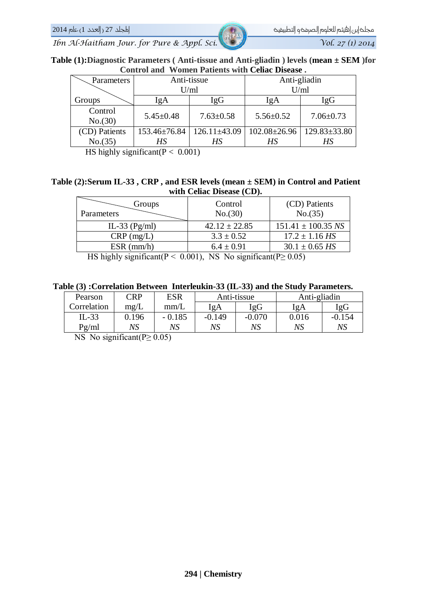**Table (1):Diagnostic Parameters ( Anti-tissue and Anti-gliadin ) levels (mean ± SEM )for Control and Women Patients with Celiac Disease .**

| Parameters         | Anti-tissue     |                    | Anti-gliadin       |                    |  |
|--------------------|-----------------|--------------------|--------------------|--------------------|--|
|                    | U/ml            |                    | U/ml               |                    |  |
| Groups             | IgA             | IgG                | IgA                | <b>IgG</b>         |  |
| Control<br>No.(30) | $5.45 \pm 0.48$ | $7.63 \pm 0.58$    | $5.56 \pm 0.52$    | $7.06 \pm 0.73$    |  |
| (CD) Patients      | 153.46±76.84    | $126.11 \pm 43.09$ | $102.08 \pm 26.96$ | $129.83 \pm 33.80$ |  |
| No.(35)            | НS              | HS                 | НS                 |                    |  |

HS highly significant  $(P < 0.001)$ 

#### **Table (2):Serum IL-33 , CRP , and ESR levels (mean ± SEM) in Control and Patient with Celiac Disease (CD).**

| Groups<br>Parameters                                                                                                                                                                                                                                                                                                                      | Control<br>No.(30) | (CD) Patients<br>No.(35) |  |  |  |
|-------------------------------------------------------------------------------------------------------------------------------------------------------------------------------------------------------------------------------------------------------------------------------------------------------------------------------------------|--------------------|--------------------------|--|--|--|
| IL-33 $(Pg/ml)$                                                                                                                                                                                                                                                                                                                           | $42.12 \pm 22.85$  | $151.41 \pm 100.35$ NS   |  |  |  |
| $CRP$ (mg/L)                                                                                                                                                                                                                                                                                                                              | $3.3 \pm 0.52$     | $17.2 \pm 1.16$ HS       |  |  |  |
| $ESR$ (mm/h)                                                                                                                                                                                                                                                                                                                              | $6.4 \pm 0.91$     | $30.1 \pm 0.65$ HS       |  |  |  |
| T T T 1 1<br>$\sqrt{2}$ $\sqrt{2}$ $\sqrt{2}$ $\sqrt{2}$ $\sqrt{2}$ $\sqrt{2}$ $\sqrt{2}$ $\sqrt{2}$ $\sqrt{2}$ $\sqrt{2}$ $\sqrt{2}$ $\sqrt{2}$ $\sqrt{2}$ $\sqrt{2}$ $\sqrt{2}$ $\sqrt{2}$ $\sqrt{2}$ $\sqrt{2}$ $\sqrt{2}$ $\sqrt{2}$ $\sqrt{2}$ $\sqrt{2}$ $\sqrt{2}$ $\sqrt{2}$ $\sqrt{2}$ $\sqrt{2}$ $\sqrt{2}$ $\sqrt{2$<br>(2, 2) |                    |                          |  |  |  |

HS highly significant( $P < 0.001$ ), NS No significant( $P \ge 0.05$ )

#### **Table (3) :Correlation Between Interleukin-33 (IL-33) and the Study Parameters.**

| Pearson     | <b>CRP</b> | <b>ESR</b> | Anti-tissue |          | Anti-gliadin |          |
|-------------|------------|------------|-------------|----------|--------------|----------|
| Correlation | mg/L       | mm/L       | IgA         | IgG      | IgA          | IgG      |
| $IL-33$     | 0.196      | $-0.185$   | $-0.149$    | $-0.070$ | 0.016        | $-0.154$ |
| Pg/ml       | NS         | NS         | NS          | NS       | NS           | NS       |

NS No significant( $P \ge 0.05$ )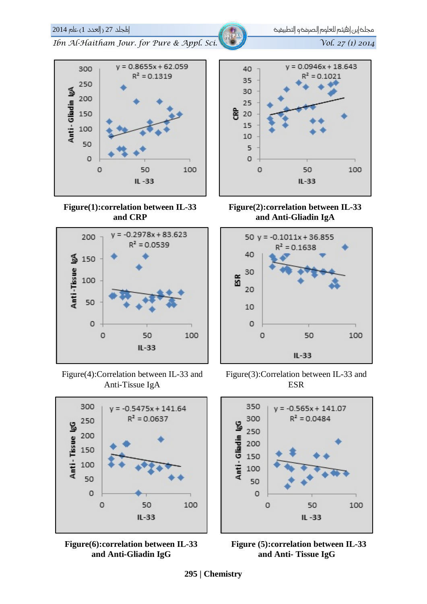#### **295 | Chemistry**





**Figure(1):correlation between IL-33 and CRP**



Figure(4):Correlation between IL-33 and Anti-Tissue IgA





 $y = 0.0946x + 18.643$  $R^2 = 0.1021$ 15 10 5  $\circ$  $\circ$ 50 100  $IL-33$ 





Figure(3):Correlation between IL-33 and ESR